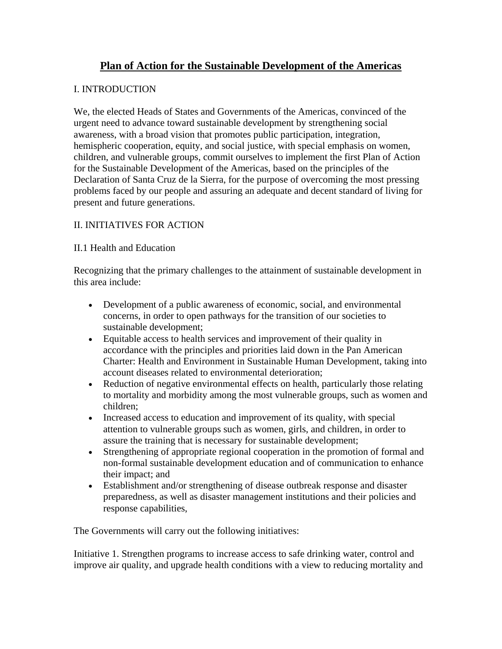# **Plan of Action for the Sustainable Development of the Americas**

## I. INTRODUCTION

We, the elected Heads of States and Governments of the Americas, convinced of the urgent need to advance toward sustainable development by strengthening social awareness, with a broad vision that promotes public participation, integration, hemispheric cooperation, equity, and social justice, with special emphasis on women, children, and vulnerable groups, commit ourselves to implement the first Plan of Action for the Sustainable Development of the Americas, based on the principles of the Declaration of Santa Cruz de la Sierra, for the purpose of overcoming the most pressing problems faced by our people and assuring an adequate and decent standard of living for present and future generations.

## II. INITIATIVES FOR ACTION

### II.1 Health and Education

Recognizing that the primary challenges to the attainment of sustainable development in this area include:

- Development of a public awareness of economic, social, and environmental concerns, in order to open pathways for the transition of our societies to sustainable development;
- Equitable access to health services and improvement of their quality in accordance with the principles and priorities laid down in the Pan American Charter: Health and Environment in Sustainable Human Development, taking into account diseases related to environmental deterioration;
- Reduction of negative environmental effects on health, particularly those relating to mortality and morbidity among the most vulnerable groups, such as women and children;
- Increased access to education and improvement of its quality, with special attention to vulnerable groups such as women, girls, and children, in order to assure the training that is necessary for sustainable development;
- Strengthening of appropriate regional cooperation in the promotion of formal and non-formal sustainable development education and of communication to enhance their impact; and
- Establishment and/or strengthening of disease outbreak response and disaster preparedness, as well as disaster management institutions and their policies and response capabilities,

The Governments will carry out the following initiatives:

Initiative 1. Strengthen programs to increase access to safe drinking water, control and improve air quality, and upgrade health conditions with a view to reducing mortality and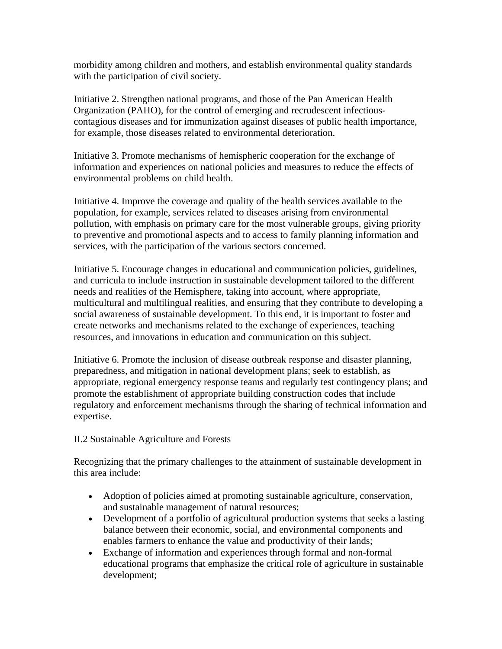morbidity among children and mothers, and establish environmental quality standards with the participation of civil society.

Initiative 2. Strengthen national programs, and those of the Pan American Health Organization (PAHO), for the control of emerging and recrudescent infectiouscontagious diseases and for immunization against diseases of public health importance, for example, those diseases related to environmental deterioration.

Initiative 3. Promote mechanisms of hemispheric cooperation for the exchange of information and experiences on national policies and measures to reduce the effects of environmental problems on child health.

Initiative 4. Improve the coverage and quality of the health services available to the population, for example, services related to diseases arising from environmental pollution, with emphasis on primary care for the most vulnerable groups, giving priority to preventive and promotional aspects and to access to family planning information and services, with the participation of the various sectors concerned.

Initiative 5. Encourage changes in educational and communication policies, guidelines, and curricula to include instruction in sustainable development tailored to the different needs and realities of the Hemisphere, taking into account, where appropriate, multicultural and multilingual realities, and ensuring that they contribute to developing a social awareness of sustainable development. To this end, it is important to foster and create networks and mechanisms related to the exchange of experiences, teaching resources, and innovations in education and communication on this subject.

Initiative 6. Promote the inclusion of disease outbreak response and disaster planning, preparedness, and mitigation in national development plans; seek to establish, as appropriate, regional emergency response teams and regularly test contingency plans; and promote the establishment of appropriate building construction codes that include regulatory and enforcement mechanisms through the sharing of technical information and expertise.

II.2 Sustainable Agriculture and Forests

Recognizing that the primary challenges to the attainment of sustainable development in this area include:

- Adoption of policies aimed at promoting sustainable agriculture, conservation, and sustainable management of natural resources;
- Development of a portfolio of agricultural production systems that seeks a lasting balance between their economic, social, and environmental components and enables farmers to enhance the value and productivity of their lands;
- Exchange of information and experiences through formal and non-formal educational programs that emphasize the critical role of agriculture in sustainable development;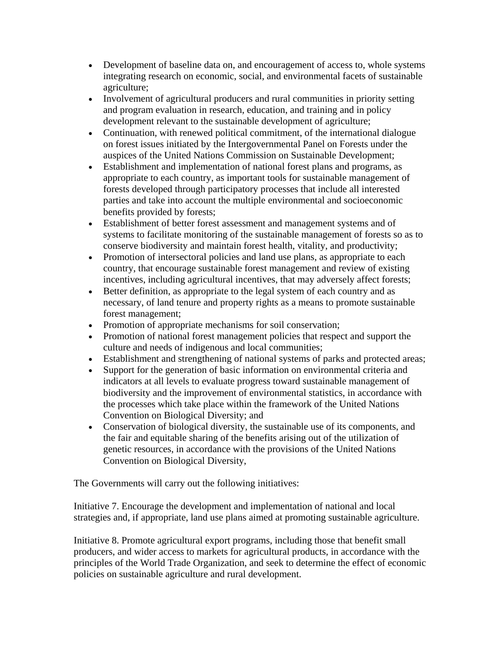- Development of baseline data on, and encouragement of access to, whole systems integrating research on economic, social, and environmental facets of sustainable agriculture;
- Involvement of agricultural producers and rural communities in priority setting and program evaluation in research, education, and training and in policy development relevant to the sustainable development of agriculture;
- Continuation, with renewed political commitment, of the international dialogue on forest issues initiated by the Intergovernmental Panel on Forests under the auspices of the United Nations Commission on Sustainable Development;
- Establishment and implementation of national forest plans and programs, as appropriate to each country, as important tools for sustainable management of forests developed through participatory processes that include all interested parties and take into account the multiple environmental and socioeconomic benefits provided by forests;
- Establishment of better forest assessment and management systems and of systems to facilitate monitoring of the sustainable management of forests so as to conserve biodiversity and maintain forest health, vitality, and productivity;
- Promotion of intersectoral policies and land use plans, as appropriate to each country, that encourage sustainable forest management and review of existing incentives, including agricultural incentives, that may adversely affect forests;
- Better definition, as appropriate to the legal system of each country and as necessary, of land tenure and property rights as a means to promote sustainable forest management;
- Promotion of appropriate mechanisms for soil conservation;
- Promotion of national forest management policies that respect and support the culture and needs of indigenous and local communities;
- Establishment and strengthening of national systems of parks and protected areas;
- Support for the generation of basic information on environmental criteria and indicators at all levels to evaluate progress toward sustainable management of biodiversity and the improvement of environmental statistics, in accordance with the processes which take place within the framework of the United Nations Convention on Biological Diversity; and
- Conservation of biological diversity, the sustainable use of its components, and the fair and equitable sharing of the benefits arising out of the utilization of genetic resources, in accordance with the provisions of the United Nations Convention on Biological Diversity,

The Governments will carry out the following initiatives:

Initiative 7. Encourage the development and implementation of national and local strategies and, if appropriate, land use plans aimed at promoting sustainable agriculture.

Initiative 8. Promote agricultural export programs, including those that benefit small producers, and wider access to markets for agricultural products, in accordance with the principles of the World Trade Organization, and seek to determine the effect of economic policies on sustainable agriculture and rural development.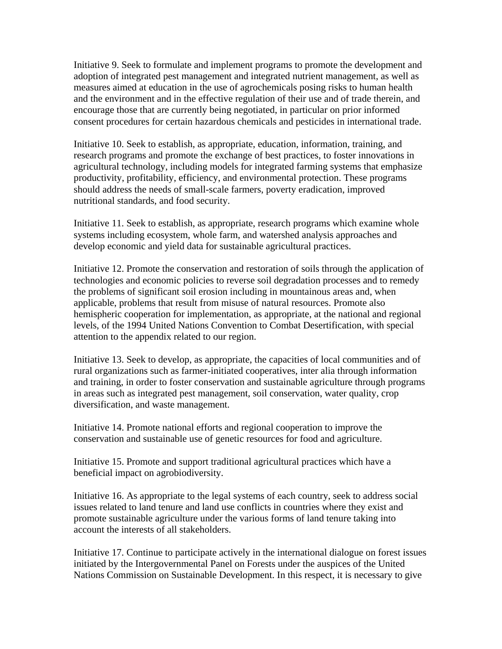Initiative 9. Seek to formulate and implement programs to promote the development and adoption of integrated pest management and integrated nutrient management, as well as measures aimed at education in the use of agrochemicals posing risks to human health and the environment and in the effective regulation of their use and of trade therein, and encourage those that are currently being negotiated, in particular on prior informed consent procedures for certain hazardous chemicals and pesticides in international trade.

Initiative 10. Seek to establish, as appropriate, education, information, training, and research programs and promote the exchange of best practices, to foster innovations in agricultural technology, including models for integrated farming systems that emphasize productivity, profitability, efficiency, and environmental protection. These programs should address the needs of small-scale farmers, poverty eradication, improved nutritional standards, and food security.

Initiative 11. Seek to establish, as appropriate, research programs which examine whole systems including ecosystem, whole farm, and watershed analysis approaches and develop economic and yield data for sustainable agricultural practices.

Initiative 12. Promote the conservation and restoration of soils through the application of technologies and economic policies to reverse soil degradation processes and to remedy the problems of significant soil erosion including in mountainous areas and, when applicable, problems that result from misuse of natural resources. Promote also hemispheric cooperation for implementation, as appropriate, at the national and regional levels, of the 1994 United Nations Convention to Combat Desertification, with special attention to the appendix related to our region.

Initiative 13. Seek to develop, as appropriate, the capacities of local communities and of rural organizations such as farmer-initiated cooperatives, inter alia through information and training, in order to foster conservation and sustainable agriculture through programs in areas such as integrated pest management, soil conservation, water quality, crop diversification, and waste management.

Initiative 14. Promote national efforts and regional cooperation to improve the conservation and sustainable use of genetic resources for food and agriculture.

Initiative 15. Promote and support traditional agricultural practices which have a beneficial impact on agrobiodiversity.

Initiative 16. As appropriate to the legal systems of each country, seek to address social issues related to land tenure and land use conflicts in countries where they exist and promote sustainable agriculture under the various forms of land tenure taking into account the interests of all stakeholders.

Initiative 17. Continue to participate actively in the international dialogue on forest issues initiated by the Intergovernmental Panel on Forests under the auspices of the United Nations Commission on Sustainable Development. In this respect, it is necessary to give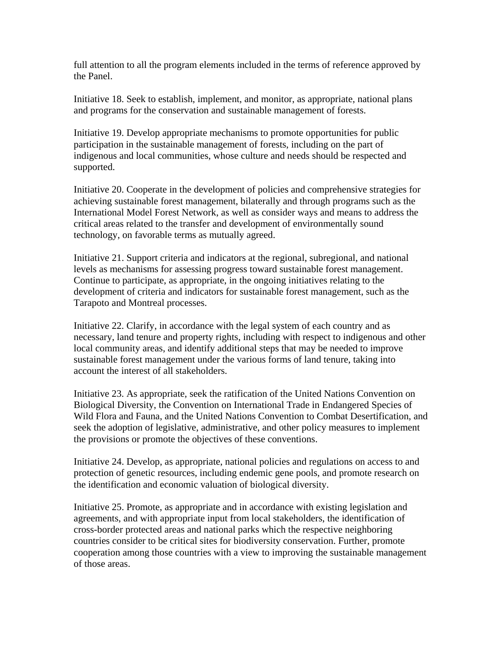full attention to all the program elements included in the terms of reference approved by the Panel.

Initiative 18. Seek to establish, implement, and monitor, as appropriate, national plans and programs for the conservation and sustainable management of forests.

Initiative 19. Develop appropriate mechanisms to promote opportunities for public participation in the sustainable management of forests, including on the part of indigenous and local communities, whose culture and needs should be respected and supported.

Initiative 20. Cooperate in the development of policies and comprehensive strategies for achieving sustainable forest management, bilaterally and through programs such as the International Model Forest Network, as well as consider ways and means to address the critical areas related to the transfer and development of environmentally sound technology, on favorable terms as mutually agreed.

Initiative 21. Support criteria and indicators at the regional, subregional, and national levels as mechanisms for assessing progress toward sustainable forest management. Continue to participate, as appropriate, in the ongoing initiatives relating to the development of criteria and indicators for sustainable forest management, such as the Tarapoto and Montreal processes.

Initiative 22. Clarify, in accordance with the legal system of each country and as necessary, land tenure and property rights, including with respect to indigenous and other local community areas, and identify additional steps that may be needed to improve sustainable forest management under the various forms of land tenure, taking into account the interest of all stakeholders.

Initiative 23. As appropriate, seek the ratification of the United Nations Convention on Biological Diversity, the Convention on International Trade in Endangered Species of Wild Flora and Fauna, and the United Nations Convention to Combat Desertification, and seek the adoption of legislative, administrative, and other policy measures to implement the provisions or promote the objectives of these conventions.

Initiative 24. Develop, as appropriate, national policies and regulations on access to and protection of genetic resources, including endemic gene pools, and promote research on the identification and economic valuation of biological diversity.

Initiative 25. Promote, as appropriate and in accordance with existing legislation and agreements, and with appropriate input from local stakeholders, the identification of cross-border protected areas and national parks which the respective neighboring countries consider to be critical sites for biodiversity conservation. Further, promote cooperation among those countries with a view to improving the sustainable management of those areas.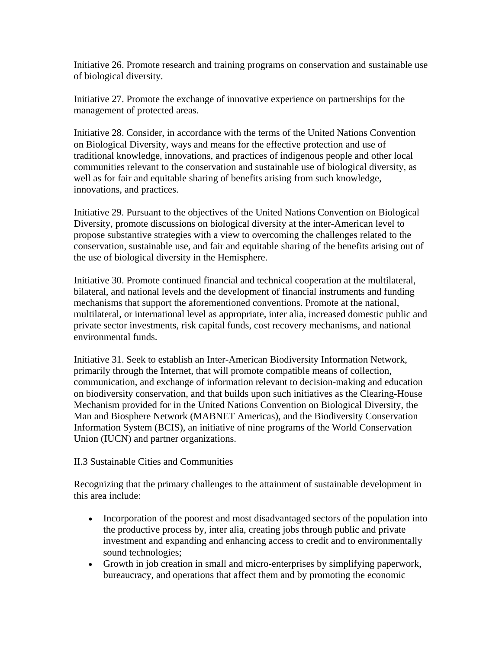Initiative 26. Promote research and training programs on conservation and sustainable use of biological diversity.

Initiative 27. Promote the exchange of innovative experience on partnerships for the management of protected areas.

Initiative 28. Consider, in accordance with the terms of the United Nations Convention on Biological Diversity, ways and means for the effective protection and use of traditional knowledge, innovations, and practices of indigenous people and other local communities relevant to the conservation and sustainable use of biological diversity, as well as for fair and equitable sharing of benefits arising from such knowledge, innovations, and practices.

Initiative 29. Pursuant to the objectives of the United Nations Convention on Biological Diversity, promote discussions on biological diversity at the inter-American level to propose substantive strategies with a view to overcoming the challenges related to the conservation, sustainable use, and fair and equitable sharing of the benefits arising out of the use of biological diversity in the Hemisphere.

Initiative 30. Promote continued financial and technical cooperation at the multilateral, bilateral, and national levels and the development of financial instruments and funding mechanisms that support the aforementioned conventions. Promote at the national, multilateral, or international level as appropriate, inter alia, increased domestic public and private sector investments, risk capital funds, cost recovery mechanisms, and national environmental funds.

Initiative 31. Seek to establish an Inter-American Biodiversity Information Network, primarily through the Internet, that will promote compatible means of collection, communication, and exchange of information relevant to decision-making and education on biodiversity conservation, and that builds upon such initiatives as the Clearing-House Mechanism provided for in the United Nations Convention on Biological Diversity, the Man and Biosphere Network (MABNET Americas), and the Biodiversity Conservation Information System (BCIS), an initiative of nine programs of the World Conservation Union (IUCN) and partner organizations.

#### II.3 Sustainable Cities and Communities

Recognizing that the primary challenges to the attainment of sustainable development in this area include:

- Incorporation of the poorest and most disadvantaged sectors of the population into the productive process by, inter alia, creating jobs through public and private investment and expanding and enhancing access to credit and to environmentally sound technologies;
- Growth in job creation in small and micro-enterprises by simplifying paperwork, bureaucracy, and operations that affect them and by promoting the economic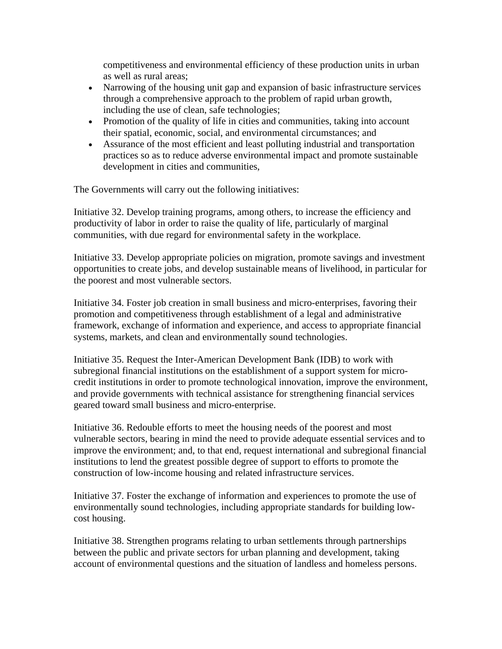competitiveness and environmental efficiency of these production units in urban as well as rural areas;

- Narrowing of the housing unit gap and expansion of basic infrastructure services through a comprehensive approach to the problem of rapid urban growth, including the use of clean, safe technologies;
- Promotion of the quality of life in cities and communities, taking into account their spatial, economic, social, and environmental circumstances; and
- Assurance of the most efficient and least polluting industrial and transportation practices so as to reduce adverse environmental impact and promote sustainable development in cities and communities,

The Governments will carry out the following initiatives:

Initiative 32. Develop training programs, among others, to increase the efficiency and productivity of labor in order to raise the quality of life, particularly of marginal communities, with due regard for environmental safety in the workplace.

Initiative 33. Develop appropriate policies on migration, promote savings and investment opportunities to create jobs, and develop sustainable means of livelihood, in particular for the poorest and most vulnerable sectors.

Initiative 34. Foster job creation in small business and micro-enterprises, favoring their promotion and competitiveness through establishment of a legal and administrative framework, exchange of information and experience, and access to appropriate financial systems, markets, and clean and environmentally sound technologies.

Initiative 35. Request the Inter-American Development Bank (IDB) to work with subregional financial institutions on the establishment of a support system for microcredit institutions in order to promote technological innovation, improve the environment, and provide governments with technical assistance for strengthening financial services geared toward small business and micro-enterprise.

Initiative 36. Redouble efforts to meet the housing needs of the poorest and most vulnerable sectors, bearing in mind the need to provide adequate essential services and to improve the environment; and, to that end, request international and subregional financial institutions to lend the greatest possible degree of support to efforts to promote the construction of low-income housing and related infrastructure services.

Initiative 37. Foster the exchange of information and experiences to promote the use of environmentally sound technologies, including appropriate standards for building lowcost housing.

Initiative 38. Strengthen programs relating to urban settlements through partnerships between the public and private sectors for urban planning and development, taking account of environmental questions and the situation of landless and homeless persons.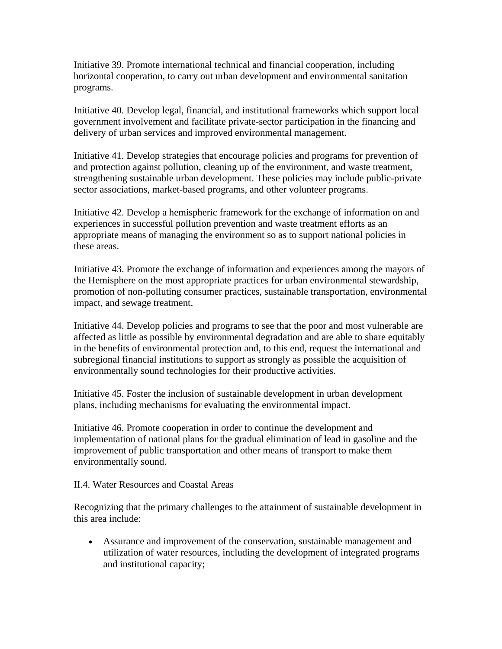Initiative 39. Promote international technical and financial cooperation, including horizontal cooperation, to carry out urban development and environmental sanitation programs.

Initiative 40. Develop legal, financial, and institutional frameworks which support local government involvement and facilitate private-sector participation in the financing and delivery of urban services and improved environmental management.

Initiative 41. Develop strategies that encourage policies and programs for prevention of and protection against pollution, cleaning up of the environment, and waste treatment, strengthening sustainable urban development. These policies may include public-private sector associations, market-based programs, and other volunteer programs.

Initiative 42. Develop a hemispheric framework for the exchange of information on and experiences in successful pollution prevention and waste treatment efforts as an appropriate means of managing the environment so as to support national policies in these areas.

Initiative 43. Promote the exchange of information and experiences among the mayors of the Hemisphere on the most appropriate practices for urban environmental stewardship, promotion of non-polluting consumer practices, sustainable transportation, environmental impact, and sewage treatment.

Initiative 44. Develop policies and programs to see that the poor and most vulnerable are affected as little as possible by environmental degradation and are able to share equitably in the benefits of environmental protection and, to this end, request the international and subregional financial institutions to support as strongly as possible the acquisition of environmentally sound technologies for their productive activities.

Initiative 45. Foster the inclusion of sustainable development in urban development plans, including mechanisms for evaluating the environmental impact.

Initiative 46. Promote cooperation in order to continue the development and implementation of national plans for the gradual elimination of lead in gasoline and the improvement of public transportation and other means of transport to make them environmentally sound.

II.4. Water Resources and Coastal Areas

Recognizing that the primary challenges to the attainment of sustainable development in this area include:

• Assurance and improvement of the conservation, sustainable management and utilization of water resources, including the development of integrated programs and institutional capacity;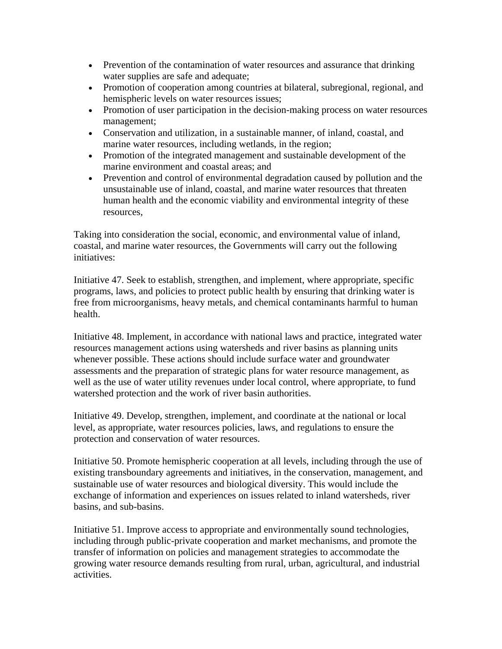- Prevention of the contamination of water resources and assurance that drinking water supplies are safe and adequate;
- Promotion of cooperation among countries at bilateral, subregional, regional, and hemispheric levels on water resources issues;
- Promotion of user participation in the decision-making process on water resources management;
- Conservation and utilization, in a sustainable manner, of inland, coastal, and marine water resources, including wetlands, in the region;
- Promotion of the integrated management and sustainable development of the marine environment and coastal areas; and
- Prevention and control of environmental degradation caused by pollution and the unsustainable use of inland, coastal, and marine water resources that threaten human health and the economic viability and environmental integrity of these resources,

Taking into consideration the social, economic, and environmental value of inland, coastal, and marine water resources, the Governments will carry out the following initiatives:

Initiative 47. Seek to establish, strengthen, and implement, where appropriate, specific programs, laws, and policies to protect public health by ensuring that drinking water is free from microorganisms, heavy metals, and chemical contaminants harmful to human health.

Initiative 48. Implement, in accordance with national laws and practice, integrated water resources management actions using watersheds and river basins as planning units whenever possible. These actions should include surface water and groundwater assessments and the preparation of strategic plans for water resource management, as well as the use of water utility revenues under local control, where appropriate, to fund watershed protection and the work of river basin authorities.

Initiative 49. Develop, strengthen, implement, and coordinate at the national or local level, as appropriate, water resources policies, laws, and regulations to ensure the protection and conservation of water resources.

Initiative 50. Promote hemispheric cooperation at all levels, including through the use of existing transboundary agreements and initiatives, in the conservation, management, and sustainable use of water resources and biological diversity. This would include the exchange of information and experiences on issues related to inland watersheds, river basins, and sub-basins.

Initiative 51. Improve access to appropriate and environmentally sound technologies, including through public-private cooperation and market mechanisms, and promote the transfer of information on policies and management strategies to accommodate the growing water resource demands resulting from rural, urban, agricultural, and industrial activities.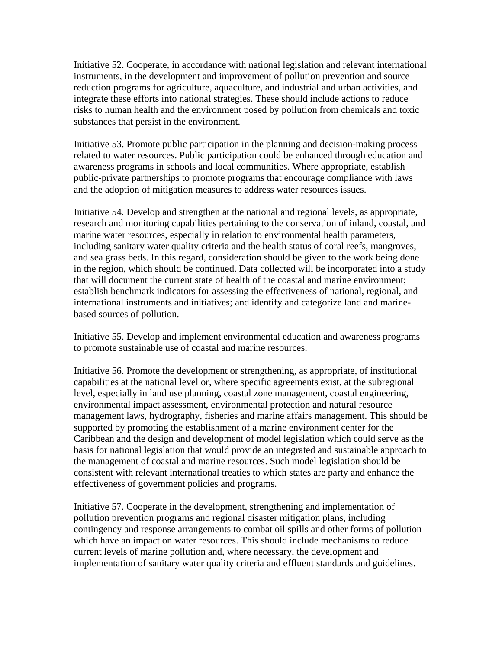Initiative 52. Cooperate, in accordance with national legislation and relevant international instruments, in the development and improvement of pollution prevention and source reduction programs for agriculture, aquaculture, and industrial and urban activities, and integrate these efforts into national strategies. These should include actions to reduce risks to human health and the environment posed by pollution from chemicals and toxic substances that persist in the environment.

Initiative 53. Promote public participation in the planning and decision-making process related to water resources. Public participation could be enhanced through education and awareness programs in schools and local communities. Where appropriate, establish public-private partnerships to promote programs that encourage compliance with laws and the adoption of mitigation measures to address water resources issues.

Initiative 54. Develop and strengthen at the national and regional levels, as appropriate, research and monitoring capabilities pertaining to the conservation of inland, coastal, and marine water resources, especially in relation to environmental health parameters, including sanitary water quality criteria and the health status of coral reefs, mangroves, and sea grass beds. In this regard, consideration should be given to the work being done in the region, which should be continued. Data collected will be incorporated into a study that will document the current state of health of the coastal and marine environment; establish benchmark indicators for assessing the effectiveness of national, regional, and international instruments and initiatives; and identify and categorize land and marinebased sources of pollution.

Initiative 55. Develop and implement environmental education and awareness programs to promote sustainable use of coastal and marine resources.

Initiative 56. Promote the development or strengthening, as appropriate, of institutional capabilities at the national level or, where specific agreements exist, at the subregional level, especially in land use planning, coastal zone management, coastal engineering, environmental impact assessment, environmental protection and natural resource management laws, hydrography, fisheries and marine affairs management. This should be supported by promoting the establishment of a marine environment center for the Caribbean and the design and development of model legislation which could serve as the basis for national legislation that would provide an integrated and sustainable approach to the management of coastal and marine resources. Such model legislation should be consistent with relevant international treaties to which states are party and enhance the effectiveness of government policies and programs.

Initiative 57. Cooperate in the development, strengthening and implementation of pollution prevention programs and regional disaster mitigation plans, including contingency and response arrangements to combat oil spills and other forms of pollution which have an impact on water resources. This should include mechanisms to reduce current levels of marine pollution and, where necessary, the development and implementation of sanitary water quality criteria and effluent standards and guidelines.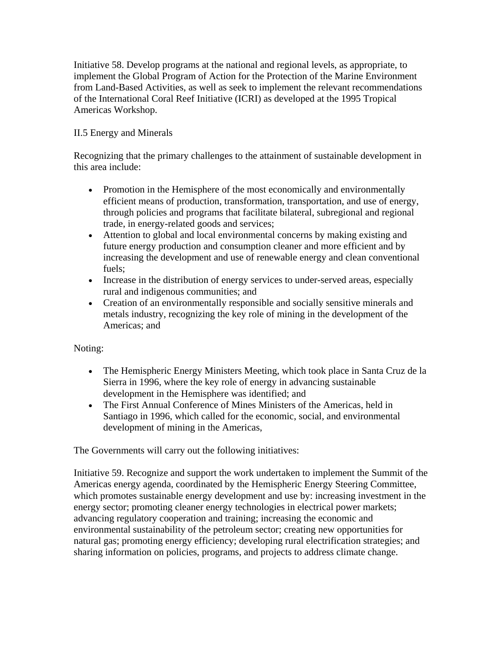Initiative 58. Develop programs at the national and regional levels, as appropriate, to implement the Global Program of Action for the Protection of the Marine Environment from Land-Based Activities, as well as seek to implement the relevant recommendations of the International Coral Reef Initiative (ICRI) as developed at the 1995 Tropical Americas Workshop.

## II.5 Energy and Minerals

Recognizing that the primary challenges to the attainment of sustainable development in this area include:

- Promotion in the Hemisphere of the most economically and environmentally efficient means of production, transformation, transportation, and use of energy, through policies and programs that facilitate bilateral, subregional and regional trade, in energy-related goods and services;
- Attention to global and local environmental concerns by making existing and future energy production and consumption cleaner and more efficient and by increasing the development and use of renewable energy and clean conventional fuels;
- Increase in the distribution of energy services to under-served areas, especially rural and indigenous communities; and
- Creation of an environmentally responsible and socially sensitive minerals and metals industry, recognizing the key role of mining in the development of the Americas; and

## Noting:

- The Hemispheric Energy Ministers Meeting, which took place in Santa Cruz de la Sierra in 1996, where the key role of energy in advancing sustainable development in the Hemisphere was identified; and
- The First Annual Conference of Mines Ministers of the Americas, held in Santiago in 1996, which called for the economic, social, and environmental development of mining in the Americas,

The Governments will carry out the following initiatives:

Initiative 59. Recognize and support the work undertaken to implement the Summit of the Americas energy agenda, coordinated by the Hemispheric Energy Steering Committee, which promotes sustainable energy development and use by: increasing investment in the energy sector; promoting cleaner energy technologies in electrical power markets; advancing regulatory cooperation and training; increasing the economic and environmental sustainability of the petroleum sector; creating new opportunities for natural gas; promoting energy efficiency; developing rural electrification strategies; and sharing information on policies, programs, and projects to address climate change.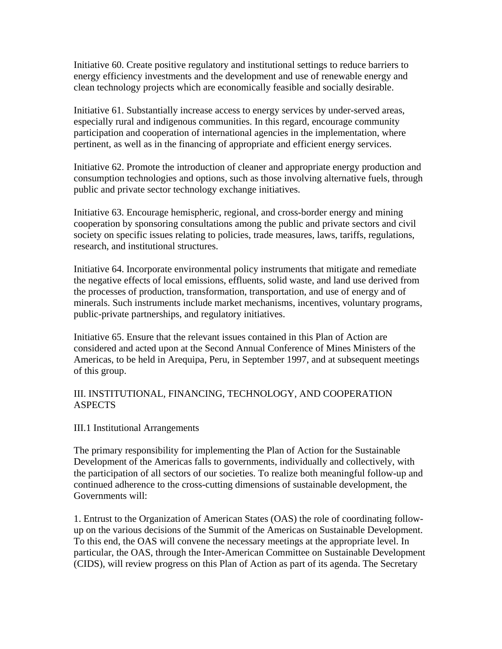Initiative 60. Create positive regulatory and institutional settings to reduce barriers to energy efficiency investments and the development and use of renewable energy and clean technology projects which are economically feasible and socially desirable.

Initiative 61. Substantially increase access to energy services by under-served areas, especially rural and indigenous communities. In this regard, encourage community participation and cooperation of international agencies in the implementation, where pertinent, as well as in the financing of appropriate and efficient energy services.

Initiative 62. Promote the introduction of cleaner and appropriate energy production and consumption technologies and options, such as those involving alternative fuels, through public and private sector technology exchange initiatives.

Initiative 63. Encourage hemispheric, regional, and cross-border energy and mining cooperation by sponsoring consultations among the public and private sectors and civil society on specific issues relating to policies, trade measures, laws, tariffs, regulations, research, and institutional structures.

Initiative 64. Incorporate environmental policy instruments that mitigate and remediate the negative effects of local emissions, effluents, solid waste, and land use derived from the processes of production, transformation, transportation, and use of energy and of minerals. Such instruments include market mechanisms, incentives, voluntary programs, public-private partnerships, and regulatory initiatives.

Initiative 65. Ensure that the relevant issues contained in this Plan of Action are considered and acted upon at the Second Annual Conference of Mines Ministers of the Americas, to be held in Arequipa, Peru, in September 1997, and at subsequent meetings of this group.

### III. INSTITUTIONAL, FINANCING, TECHNOLOGY, AND COOPERATION **ASPECTS**

#### III.1 Institutional Arrangements

The primary responsibility for implementing the Plan of Action for the Sustainable Development of the Americas falls to governments, individually and collectively, with the participation of all sectors of our societies. To realize both meaningful follow-up and continued adherence to the cross-cutting dimensions of sustainable development, the Governments will:

1. Entrust to the Organization of American States (OAS) the role of coordinating followup on the various decisions of the Summit of the Americas on Sustainable Development. To this end, the OAS will convene the necessary meetings at the appropriate level. In particular, the OAS, through the Inter-American Committee on Sustainable Development (CIDS), will review progress on this Plan of Action as part of its agenda. The Secretary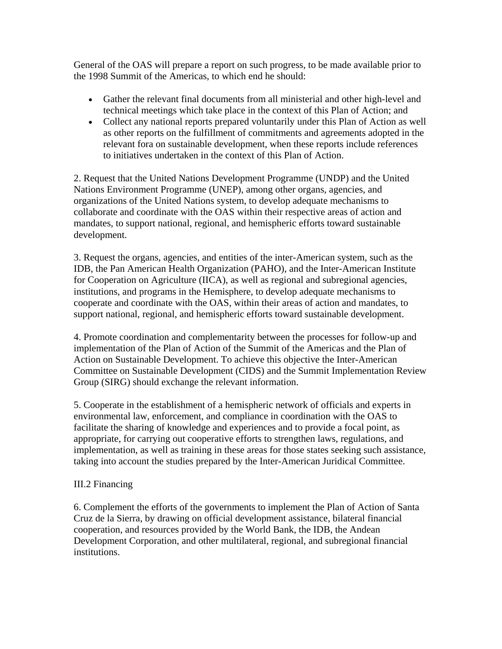General of the OAS will prepare a report on such progress, to be made available prior to the 1998 Summit of the Americas, to which end he should:

- Gather the relevant final documents from all ministerial and other high-level and technical meetings which take place in the context of this Plan of Action; and
- Collect any national reports prepared voluntarily under this Plan of Action as well as other reports on the fulfillment of commitments and agreements adopted in the relevant fora on sustainable development, when these reports include references to initiatives undertaken in the context of this Plan of Action.

2. Request that the United Nations Development Programme (UNDP) and the United Nations Environment Programme (UNEP), among other organs, agencies, and organizations of the United Nations system, to develop adequate mechanisms to collaborate and coordinate with the OAS within their respective areas of action and mandates, to support national, regional, and hemispheric efforts toward sustainable development.

3. Request the organs, agencies, and entities of the inter-American system, such as the IDB, the Pan American Health Organization (PAHO), and the Inter-American Institute for Cooperation on Agriculture (IICA), as well as regional and subregional agencies, institutions, and programs in the Hemisphere, to develop adequate mechanisms to cooperate and coordinate with the OAS, within their areas of action and mandates, to support national, regional, and hemispheric efforts toward sustainable development.

4. Promote coordination and complementarity between the processes for follow-up and implementation of the Plan of Action of the Summit of the Americas and the Plan of Action on Sustainable Development. To achieve this objective the Inter-American Committee on Sustainable Development (CIDS) and the Summit Implementation Review Group (SIRG) should exchange the relevant information.

5. Cooperate in the establishment of a hemispheric network of officials and experts in environmental law, enforcement, and compliance in coordination with the OAS to facilitate the sharing of knowledge and experiences and to provide a focal point, as appropriate, for carrying out cooperative efforts to strengthen laws, regulations, and implementation, as well as training in these areas for those states seeking such assistance, taking into account the studies prepared by the Inter-American Juridical Committee.

## III.2 Financing

6. Complement the efforts of the governments to implement the Plan of Action of Santa Cruz de la Sierra, by drawing on official development assistance, bilateral financial cooperation, and resources provided by the World Bank, the IDB, the Andean Development Corporation, and other multilateral, regional, and subregional financial institutions.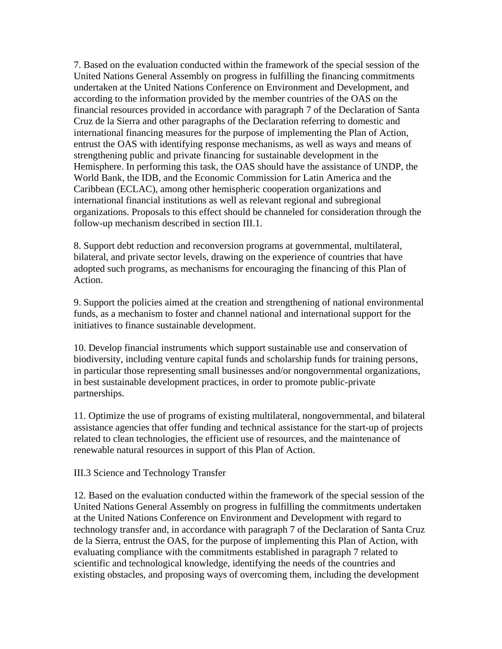7. Based on the evaluation conducted within the framework of the special session of the United Nations General Assembly on progress in fulfilling the financing commitments undertaken at the United Nations Conference on Environment and Development, and according to the information provided by the member countries of the OAS on the financial resources provided in accordance with paragraph 7 of the Declaration of Santa Cruz de la Sierra and other paragraphs of the Declaration referring to domestic and international financing measures for the purpose of implementing the Plan of Action, entrust the OAS with identifying response mechanisms, as well as ways and means of strengthening public and private financing for sustainable development in the Hemisphere. In performing this task, the OAS should have the assistance of UNDP, the World Bank, the IDB, and the Economic Commission for Latin America and the Caribbean (ECLAC), among other hemispheric cooperation organizations and international financial institutions as well as relevant regional and subregional organizations. Proposals to this effect should be channeled for consideration through the follow-up mechanism described in section III.1.

8. Support debt reduction and reconversion programs at governmental, multilateral, bilateral, and private sector levels, drawing on the experience of countries that have adopted such programs, as mechanisms for encouraging the financing of this Plan of Action.

9. Support the policies aimed at the creation and strengthening of national environmental funds, as a mechanism to foster and channel national and international support for the initiatives to finance sustainable development.

10. Develop financial instruments which support sustainable use and conservation of biodiversity, including venture capital funds and scholarship funds for training persons, in particular those representing small businesses and/or nongovernmental organizations, in best sustainable development practices, in order to promote public-private partnerships.

11. Optimize the use of programs of existing multilateral, nongovernmental, and bilateral assistance agencies that offer funding and technical assistance for the start-up of projects related to clean technologies, the efficient use of resources, and the maintenance of renewable natural resources in support of this Plan of Action.

III.3 Science and Technology Transfer

12. Based on the evaluation conducted within the framework of the special session of the United Nations General Assembly on progress in fulfilling the commitments undertaken at the United Nations Conference on Environment and Development with regard to technology transfer and, in accordance with paragraph 7 of the Declaration of Santa Cruz de la Sierra, entrust the OAS, for the purpose of implementing this Plan of Action, with evaluating compliance with the commitments established in paragraph 7 related to scientific and technological knowledge, identifying the needs of the countries and existing obstacles, and proposing ways of overcoming them, including the development